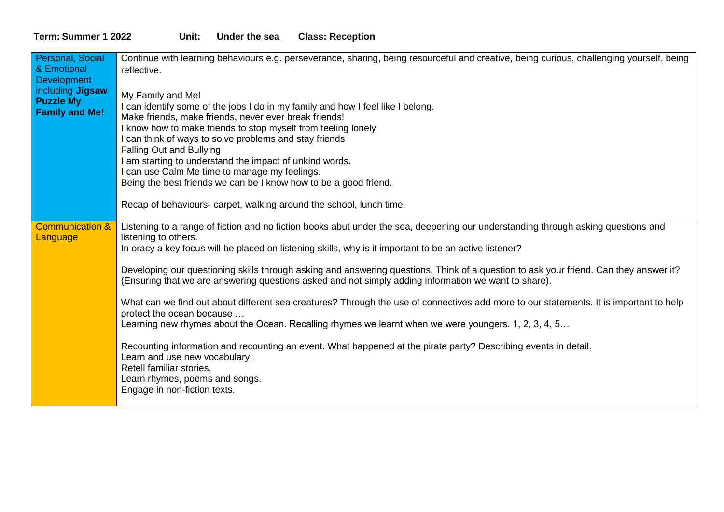## **Term: Summer 1 2022 Unit: Under the sea Class: Reception**

| Personal, Social<br>& Emotional<br><b>Development</b><br>including <b>Jigsaw</b><br><b>Puzzle My</b><br><b>Family and Me!</b> | Continue with learning behaviours e.g. perseverance, sharing, being resourceful and creative, being curious, challenging yourself, being<br>reflective.<br>My Family and Me!<br>I can identify some of the jobs I do in my family and how I feel like I belong.<br>Make friends, make friends, never ever break friends!<br>I know how to make friends to stop myself from feeling lonely<br>can think of ways to solve problems and stay friends<br>Falling Out and Bullying<br>I am starting to understand the impact of unkind words.<br>can use Calm Me time to manage my feelings.<br>Being the best friends we can be I know how to be a good friend.                                                                                                                                                                                                                                                                                                                                                                                           |
|-------------------------------------------------------------------------------------------------------------------------------|-------------------------------------------------------------------------------------------------------------------------------------------------------------------------------------------------------------------------------------------------------------------------------------------------------------------------------------------------------------------------------------------------------------------------------------------------------------------------------------------------------------------------------------------------------------------------------------------------------------------------------------------------------------------------------------------------------------------------------------------------------------------------------------------------------------------------------------------------------------------------------------------------------------------------------------------------------------------------------------------------------------------------------------------------------|
|                                                                                                                               | Recap of behaviours- carpet, walking around the school, lunch time.                                                                                                                                                                                                                                                                                                                                                                                                                                                                                                                                                                                                                                                                                                                                                                                                                                                                                                                                                                                   |
| <b>Communication &amp;</b><br>Language                                                                                        | Listening to a range of fiction and no fiction books abut under the sea, deepening our understanding through asking questions and<br>listening to others.<br>In oracy a key focus will be placed on listening skills, why is it important to be an active listener?<br>Developing our questioning skills through asking and answering questions. Think of a question to ask your friend. Can they answer it?<br>(Ensuring that we are answering questions asked and not simply adding information we want to share).<br>What can we find out about different sea creatures? Through the use of connectives add more to our statements. It is important to help<br>protect the ocean because<br>Learning new rhymes about the Ocean. Recalling rhymes we learnt when we were youngers. 1, 2, 3, 4, 5<br>Recounting information and recounting an event. What happened at the pirate party? Describing events in detail.<br>Learn and use new vocabulary.<br>Retell familiar stories.<br>Learn rhymes, poems and songs.<br>Engage in non-fiction texts. |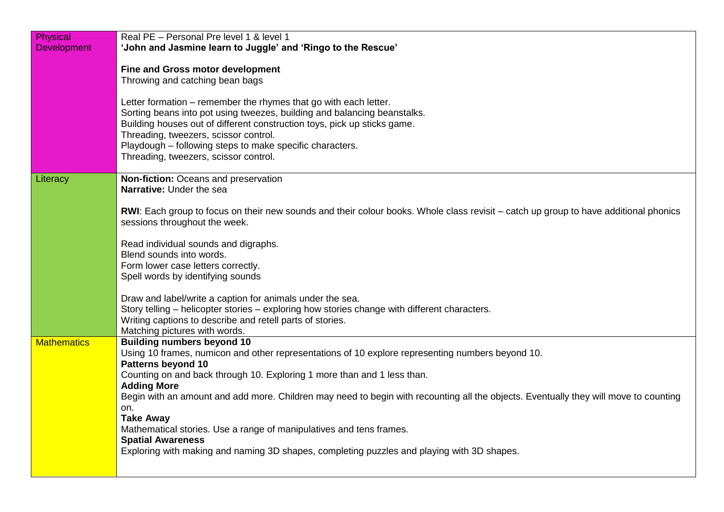| Physical           | Real PE - Personal Pre level 1 & level 1                                                                                                    |
|--------------------|---------------------------------------------------------------------------------------------------------------------------------------------|
| <b>Development</b> | 'John and Jasmine learn to Juggle' and 'Ringo to the Rescue'                                                                                |
|                    |                                                                                                                                             |
|                    | <b>Fine and Gross motor development</b>                                                                                                     |
|                    | Throwing and catching bean bags                                                                                                             |
|                    | Letter formation – remember the rhymes that go with each letter.                                                                            |
|                    | Sorting beans into pot using tweezes, building and balancing beanstalks.                                                                    |
|                    | Building houses out of different construction toys, pick up sticks game.                                                                    |
|                    | Threading, tweezers, scissor control.                                                                                                       |
|                    | Playdough - following steps to make specific characters.                                                                                    |
|                    | Threading, tweezers, scissor control.                                                                                                       |
|                    | Non-fiction: Oceans and preservation                                                                                                        |
| Literacy           | Narrative: Under the sea                                                                                                                    |
|                    |                                                                                                                                             |
|                    | <b>RWI:</b> Each group to focus on their new sounds and their colour books. Whole class revisit – catch up group to have additional phonics |
|                    | sessions throughout the week.                                                                                                               |
|                    |                                                                                                                                             |
|                    | Read individual sounds and digraphs.                                                                                                        |
|                    | Blend sounds into words.<br>Form lower case letters correctly.                                                                              |
|                    | Spell words by identifying sounds                                                                                                           |
|                    |                                                                                                                                             |
|                    | Draw and label/write a caption for animals under the sea.                                                                                   |
|                    | Story telling – helicopter stories – exploring how stories change with different characters.                                                |
|                    | Writing captions to describe and retell parts of stories.                                                                                   |
|                    | Matching pictures with words.                                                                                                               |
| <b>Mathematics</b> | <b>Building numbers beyond 10</b>                                                                                                           |
|                    | Using 10 frames, numicon and other representations of 10 explore representing numbers beyond 10.<br><b>Patterns beyond 10</b>               |
|                    | Counting on and back through 10. Exploring 1 more than and 1 less than.                                                                     |
|                    | <b>Adding More</b>                                                                                                                          |
|                    | Begin with an amount and add more. Children may need to begin with recounting all the objects. Eventually they will move to counting        |
|                    | on.                                                                                                                                         |
|                    | <b>Take Away</b>                                                                                                                            |
|                    | Mathematical stories. Use a range of manipulatives and tens frames.<br><b>Spatial Awareness</b>                                             |
|                    | Exploring with making and naming 3D shapes, completing puzzles and playing with 3D shapes.                                                  |
|                    |                                                                                                                                             |
|                    |                                                                                                                                             |